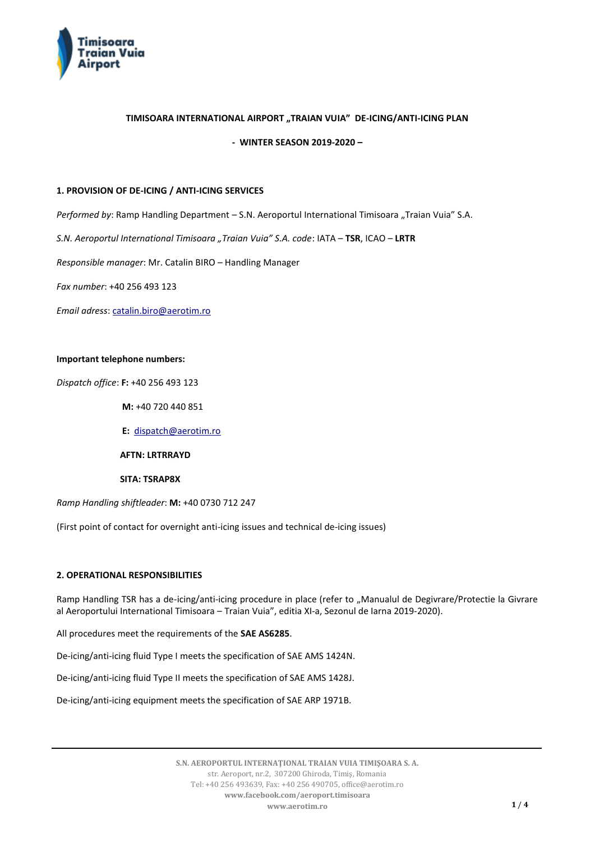

# **TIMISOARA INTERNATIONAL AIRPORT "TRAIAN VUIA" DE-ICING/ANTI-ICING PLAN**

**- WINTER SEASON 2019-2020 –**

#### **1. PROVISION OF DE-ICING / ANTI-ICING SERVICES**

Performed by: Ramp Handling Department - S.N. Aeroportul International Timisoara "Traian Vuia" S.A.

*S.N. Aeroportul International Timisoara "Traian Vuia" S.A. code*: IATA – **TSR**, ICAO – **LRTR**

*Responsible manager*: Mr. Catalin BIRO – Handling Manager

*Fax number*: +40 256 493 123

*Email adress*[: catalin.biro@aerotim.ro](mailto:catalin.biro@aerotim.ro)

#### **Important telephone numbers:**

*Dispatch office*: **F:** +40 256 493 123

**M:** +40 720 440 851

**E:** [dispatch@aerotim.ro](mailto:dispatch@aerotim.ro)

 **AFTN: LRTRRAYD**

 **SITA: TSRAP8X**

*Ramp Handling shiftleader*: **M:** +40 0730 712 247

(First point of contact for overnight anti-icing issues and technical de-icing issues)

### **2. OPERATIONAL RESPONSIBILITIES**

Ramp Handling TSR has a de-icing/anti-icing procedure in place (refer to "Manualul de Degivrare/Protectie la Givrare al Aeroportului International Timisoara – Traian Vuia", editia XI-a, Sezonul de Iarna 2019-2020).

All procedures meet the requirements of the **SAE AS6285**.

De-icing/anti-icing fluid Type I meets the specification of SAE AMS 1424N.

De-icing/anti-icing fluid Type II meets the specification of SAE AMS 1428J.

De-icing/anti-icing equipment meets the specification of SAE ARP 1971B.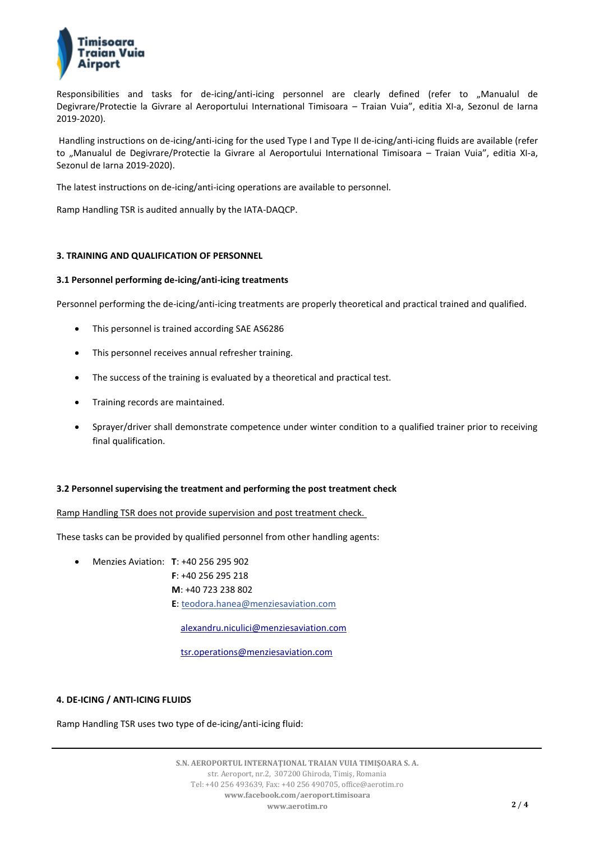

Responsibilities and tasks for de-icing/anti-icing personnel are clearly defined (refer to "Manualul de Degivrare/Protectie la Givrare al Aeroportului International Timisoara – Traian Vuia", editia XI-a, Sezonul de Iarna 2019-2020).

Handling instructions on de-icing/anti-icing for the used Type I and Type II de-icing/anti-icing fluids are available (refer to "Manualul de Degivrare/Protectie la Givrare al Aeroportului International Timisoara – Traian Vuia", editia XI-a, Sezonul de Iarna 2019-2020).

The latest instructions on de-icing/anti-icing operations are available to personnel.

Ramp Handling TSR is audited annually by the IATA-DAQCP.

# **3. TRAINING AND QUALIFICATION OF PERSONNEL**

# **3.1 Personnel performing de-icing/anti-icing treatments**

Personnel performing the de-icing/anti-icing treatments are properly theoretical and practical trained and qualified.

- This personnel is trained according SAE AS6286
- This personnel receives annual refresher training.
- The success of the training is evaluated by a theoretical and practical test.
- Training records are maintained.
- Sprayer/driver shall demonstrate competence under winter condition to a qualified trainer prior to receiving final qualification.

### **3.2 Personnel supervising the treatment and performing the post treatment check**

### Ramp Handling TSR does not provide supervision and post treatment check.

These tasks can be provided by qualified personnel from other handling agents:

- Menzies Aviation: **T**: +40 256 295 902  **F**: +40 256 295 218
	- **M**: +40 723 238 802
	- **E**[: teodora.hanea@menziesaviation.com](mailto:teodora.hanea@menziesaviation.com)

[alexandru.niculici@menziesaviation.com](mailto:alexandru.niculici@menziesaviation.com)

[tsr.operations@menziesaviation.com](mailto:tsr.operations@menziesaviation.com)

### **4. DE-ICING / ANTI-ICING FLUIDS**

Ramp Handling TSR uses two type of de-icing/anti-icing fluid: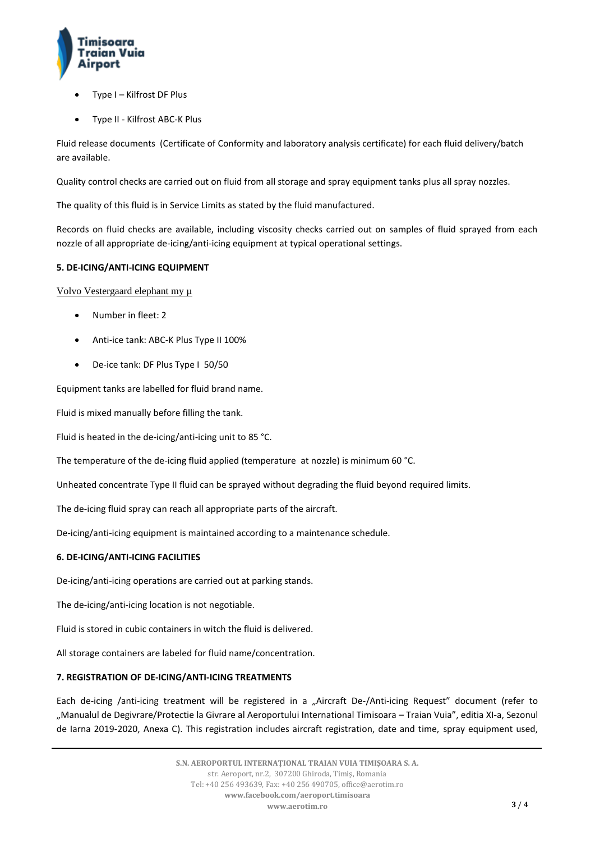

- Type I Kilfrost DF Plus
- Type II Kilfrost ABC-K Plus

Fluid release documents (Certificate of Conformity and laboratory analysis certificate) for each fluid delivery/batch are available.

Quality control checks are carried out on fluid from all storage and spray equipment tanks plus all spray nozzles.

The quality of this fluid is in Service Limits as stated by the fluid manufactured.

Records on fluid checks are available, including viscosity checks carried out on samples of fluid sprayed from each nozzle of all appropriate de-icing/anti-icing equipment at typical operational settings.

# **5. DE-ICING/ANTI-ICING EQUIPMENT**

Volvo Vestergaard elephant my µ

- Number in fleet: 2
- Anti-ice tank: ABC-K Plus Type II 100%
- De-ice tank: DF Plus Type I 50/50

Equipment tanks are labelled for fluid brand name.

Fluid is mixed manually before filling the tank.

Fluid is heated in the de-icing/anti-icing unit to 85 °C.

The temperature of the de-icing fluid applied (temperature at nozzle) is minimum 60 °C.

Unheated concentrate Type II fluid can be sprayed without degrading the fluid beyond required limits.

The de-icing fluid spray can reach all appropriate parts of the aircraft.

De-icing/anti-icing equipment is maintained according to a maintenance schedule.

# **6. DE-ICING/ANTI-ICING FACILITIES**

De-icing/anti-icing operations are carried out at parking stands.

The de-icing/anti-icing location is not negotiable.

Fluid is stored in cubic containers in witch the fluid is delivered.

All storage containers are labeled for fluid name/concentration.

### **7. REGISTRATION OF DE-ICING/ANTI-ICING TREATMENTS**

Each de-icing /anti-icing treatment will be registered in a "Aircraft De-/Anti-icing Request" document (refer to "Manualul de Degivrare/Protectie la Givrare al Aeroportului International Timisoara – Traian Vuia", editia XI-a, Sezonul de Iarna 2019-2020, Anexa C). This registration includes aircraft registration, date and time, spray equipment used,